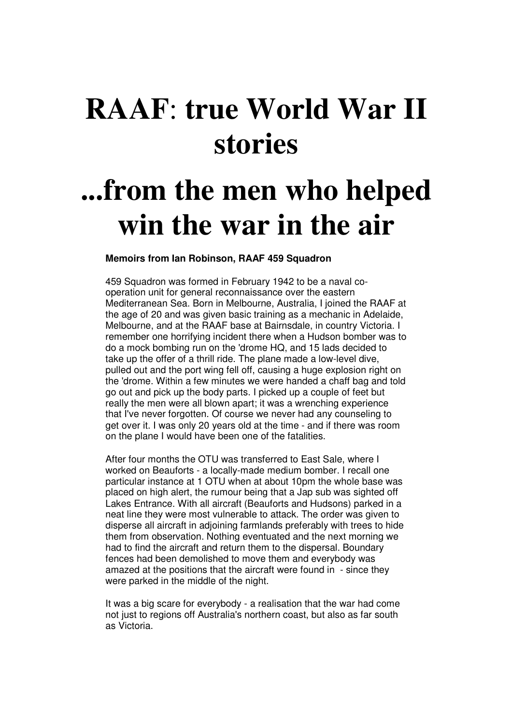## **RAAF**: **true World War II stories**

## **...from the men who helped win the war in the air**

## **Memoirs from Ian Robinson, RAAF 459 Squadron**

459 Squadron was formed in February 1942 to be a naval cooperation unit for general reconnaissance over the eastern Mediterranean Sea. Born in Melbourne, Australia, I joined the RAAF at the age of 20 and was given basic training as a mechanic in Adelaide, Melbourne, and at the RAAF base at Bairnsdale, in country Victoria. I remember one horrifying incident there when a Hudson bomber was to do a mock bombing run on the 'drome HQ, and 15 lads decided to take up the offer of a thrill ride. The plane made a low-level dive, pulled out and the port wing fell off, causing a huge explosion right on the 'drome. Within a few minutes we were handed a chaff bag and told go out and pick up the body parts. I picked up a couple of feet but really the men were all blown apart; it was a wrenching experience that I've never forgotten. Of course we never had any counseling to get over it. I was only 20 years old at the time - and if there was room on the plane I would have been one of the fatalities.

After four months the OTU was transferred to East Sale, where I worked on Beauforts - a locally-made medium bomber. I recall one particular instance at 1 OTU when at about 10pm the whole base was placed on high alert, the rumour being that a Jap sub was sighted off Lakes Entrance. With all aircraft (Beauforts and Hudsons) parked in a neat line they were most vulnerable to attack. The order was given to disperse all aircraft in adjoining farmlands preferably with trees to hide them from observation. Nothing eventuated and the next morning we had to find the aircraft and return them to the dispersal. Boundary fences had been demolished to move them and everybody was amazed at the positions that the aircraft were found in - since they were parked in the middle of the night.

It was a big scare for everybody - a realisation that the war had come not just to regions off Australia's northern coast, but also as far south as Victoria.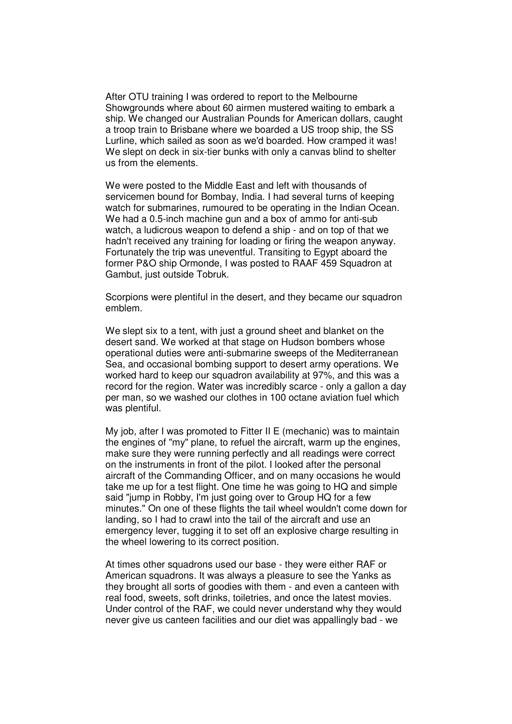After OTU training I was ordered to report to the Melbourne Showgrounds where about 60 airmen mustered waiting to embark a ship. We changed our Australian Pounds for American dollars, caught a troop train to Brisbane where we boarded a US troop ship, the SS Lurline, which sailed as soon as we'd boarded. How cramped it was! We slept on deck in six-tier bunks with only a canvas blind to shelter us from the elements.

We were posted to the Middle East and left with thousands of servicemen bound for Bombay, India. I had several turns of keeping watch for submarines, rumoured to be operating in the Indian Ocean. We had a 0.5-inch machine gun and a box of ammo for anti-sub watch, a ludicrous weapon to defend a ship - and on top of that we hadn't received any training for loading or firing the weapon anyway. Fortunately the trip was uneventful. Transiting to Egypt aboard the former P&O ship Ormonde, I was posted to RAAF 459 Squadron at Gambut, just outside Tobruk.

Scorpions were plentiful in the desert, and they became our squadron emblem.

We slept six to a tent, with just a ground sheet and blanket on the desert sand. We worked at that stage on Hudson bombers whose operational duties were anti-submarine sweeps of the Mediterranean Sea, and occasional bombing support to desert army operations. We worked hard to keep our squadron availability at 97%, and this was a record for the region. Water was incredibly scarce - only a gallon a day per man, so we washed our clothes in 100 octane aviation fuel which was plentiful.

My job, after I was promoted to Fitter II E (mechanic) was to maintain the engines of "my" plane, to refuel the aircraft, warm up the engines, make sure they were running perfectly and all readings were correct on the instruments in front of the pilot. I looked after the personal aircraft of the Commanding Officer, and on many occasions he would take me up for a test flight. One time he was going to HQ and simple said "jump in Robby, I'm just going over to Group HQ for a few minutes." On one of these flights the tail wheel wouldn't come down for landing, so I had to crawl into the tail of the aircraft and use an emergency lever, tugging it to set off an explosive charge resulting in the wheel lowering to its correct position.

At times other squadrons used our base - they were either RAF or American squadrons. It was always a pleasure to see the Yanks as they brought all sorts of goodies with them - and even a canteen with real food, sweets, soft drinks, toiletries, and once the latest movies. Under control of the RAF, we could never understand why they would never give us canteen facilities and our diet was appallingly bad - we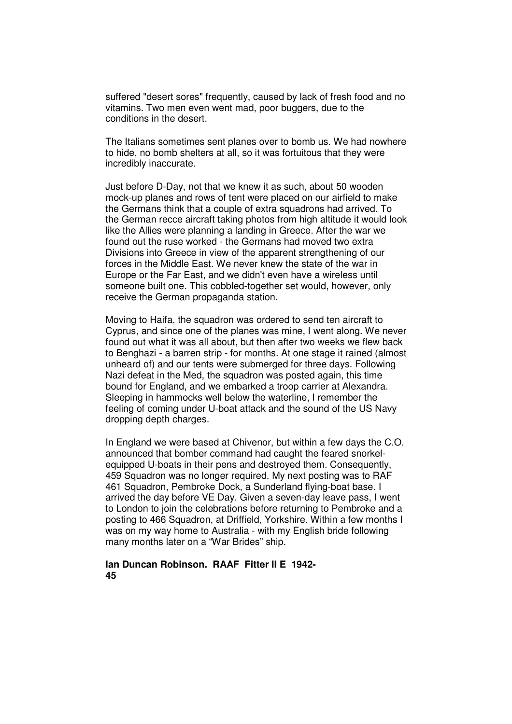suffered "desert sores" frequently, caused by lack of fresh food and no vitamins. Two men even went mad, poor buggers, due to the conditions in the desert.

The Italians sometimes sent planes over to bomb us. We had nowhere to hide, no bomb shelters at all, so it was fortuitous that they were incredibly inaccurate.

Just before D-Day, not that we knew it as such, about 50 wooden mock-up planes and rows of tent were placed on our airfield to make the Germans think that a couple of extra squadrons had arrived. To the German recce aircraft taking photos from high altitude it would look like the Allies were planning a landing in Greece. After the war we found out the ruse worked - the Germans had moved two extra Divisions into Greece in view of the apparent strengthening of our forces in the Middle East. We never knew the state of the war in Europe or the Far East, and we didn't even have a wireless until someone built one. This cobbled-together set would, however, only receive the German propaganda station.

Moving to Haifa, the squadron was ordered to send ten aircraft to Cyprus, and since one of the planes was mine, I went along. We never found out what it was all about, but then after two weeks we flew back to Benghazi - a barren strip - for months. At one stage it rained (almost unheard of) and our tents were submerged for three days. Following Nazi defeat in the Med, the squadron was posted again, this time bound for England, and we embarked a troop carrier at Alexandra. Sleeping in hammocks well below the waterline, I remember the feeling of coming under U-boat attack and the sound of the US Navy dropping depth charges.

In England we were based at Chivenor, but within a few days the C.O. announced that bomber command had caught the feared snorkelequipped U-boats in their pens and destroyed them. Consequently, 459 Squadron was no longer required. My next posting was to RAF 461 Squadron, Pembroke Dock, a Sunderland flying-boat base. I arrived the day before VE Day. Given a seven-day leave pass, I went to London to join the celebrations before returning to Pembroke and a posting to 466 Squadron, at Driffield, Yorkshire. Within a few months I was on my way home to Australia - with my English bride following many months later on a "War Brides" ship.

## **Ian Duncan Robinson. RAAF Fitter II E 1942- 45**